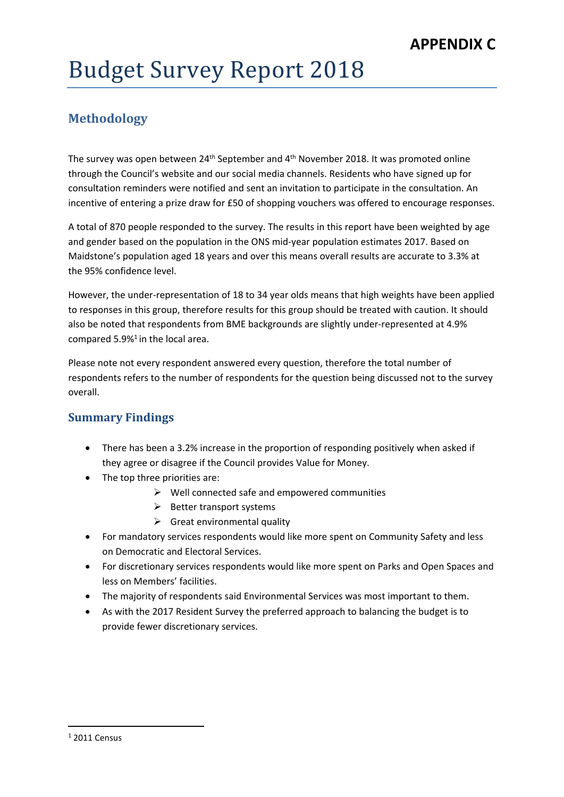# Budget Survey Report 2018

### **Methodology**

The survey was open between 24<sup>th</sup> September and 4<sup>th</sup> November 2018. It was promoted online through the Council's website and our social media channels. Residents who have signed up for consultation reminders were notified and sent an invitation to participate in the consultation. An incentive of entering a prize draw for £50 of shopping vouchers was offered to encourage responses.

A total of 870 people responded to the survey. The results in this report have been weighted by age and gender based on the population in the ONS mid-year population estimates 2017. Based on Maidstone's population aged 18 years and over this means overall results are accurate to 3.3% at the 95% confidence level.

However, the under-representation of 18 to 34 year olds means that high weights have been applied to responses in this group, therefore results for this group should be treated with caution. It should also be noted that respondents from BME backgrounds are slightly under-represented at 4.9% compared 5.9%<sup>1</sup> in the local area.

Please note not every respondent answered every question, therefore the total number of respondents refers to the number of respondents for the question being discussed not to the survey overall.

#### **Summary Findings**

- There has been a 3.2% increase in the proportion of responding positively when asked if they agree or disagree if the Council provides Value for Money.
- The top three priorities are:
	- $\triangleright$  Well connected safe and empowered communities
	- $\triangleright$  Better transport systems
	- $\triangleright$  Great environmental quality
- For mandatory services respondents would like more spent on Community Safety and less on Democratic and Electoral Services.
- For discretionary services respondents would like more spent on Parks and Open Spaces and less on Members' facilities.
- The majority of respondents said Environmental Services was most important to them.
- As with the 2017 Resident Survey the preferred approach to balancing the budget is to provide fewer discretionary services.

 $1$  2011 Census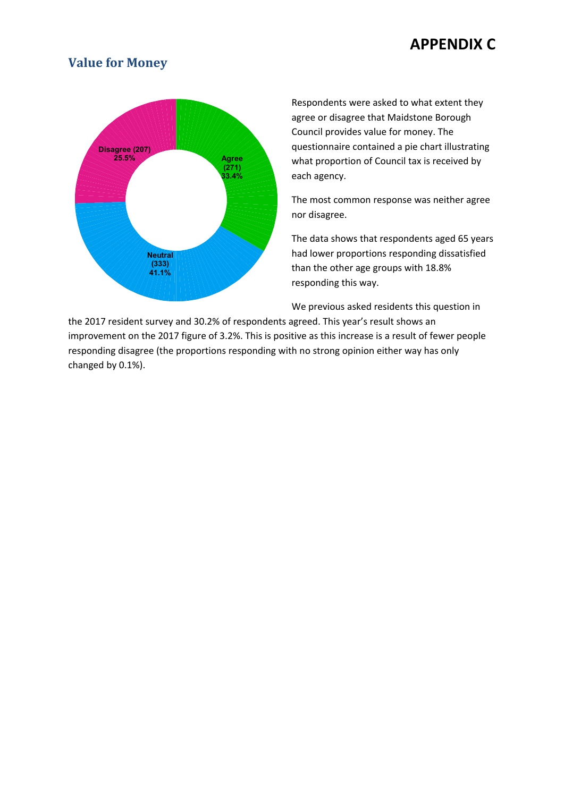### **Value for Money**



Respondents were asked to what extent they agree or disagree that Maidstone Borough Council provides value for money. The questionnaire contained a pie chart illustrating what proportion of Council tax is received by each agency.

The most common response was neither agree nor disagree.

The data shows that respondents aged 65 years had lower proportions responding dissatisfied than the other age groups with 18.8% responding this way.

We previous asked residents this question in

the 2017 resident survey and 30.2% of respondents agreed. This year's result shows an improvement on the 2017 figure of 3.2%. This is positive as this increase is a result of fewer people responding disagree (the proportions responding with no strong opinion either way has only changed by 0.1%).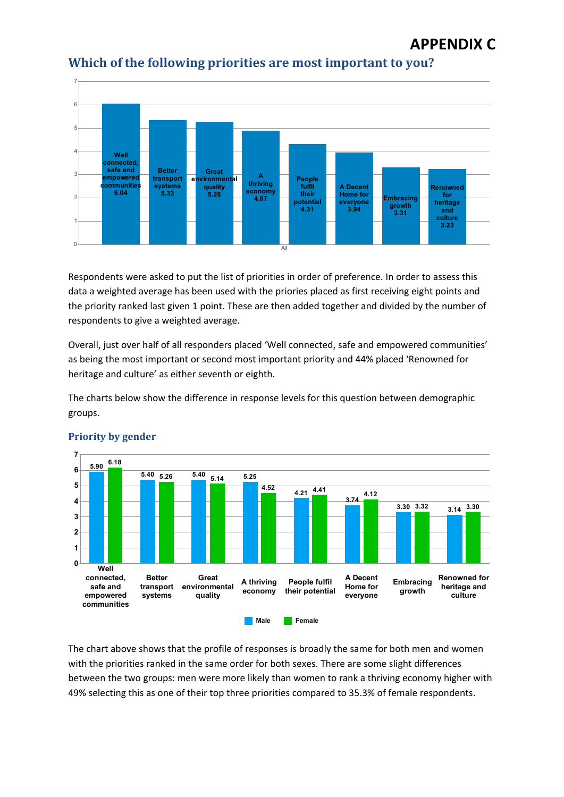

#### **Which of the following priorities are most important to you?**

Respondents were asked to put the list of priorities in order of preference. In order to assess this data a weighted average has been used with the priories placed as first receiving eight points and the priority ranked last given 1 point. These are then added together and divided by the number of respondents to give a weighted average.

Overall, just over half of all responders placed 'Well connected, safe and empowered communities' as being the most important or second most important priority and 44% placed 'Renowned for heritage and culture' as either seventh or eighth.

The charts below show the difference in response levels for this question between demographic groups.



#### **Priority by gender**

The chart above shows that the profile of responses is broadly the same for both men and women with the priorities ranked in the same order for both sexes. There are some slight differences between the two groups: men were more likely than women to rank a thriving economy higher with 49% selecting this as one of their top three priorities compared to 35.3% of female respondents.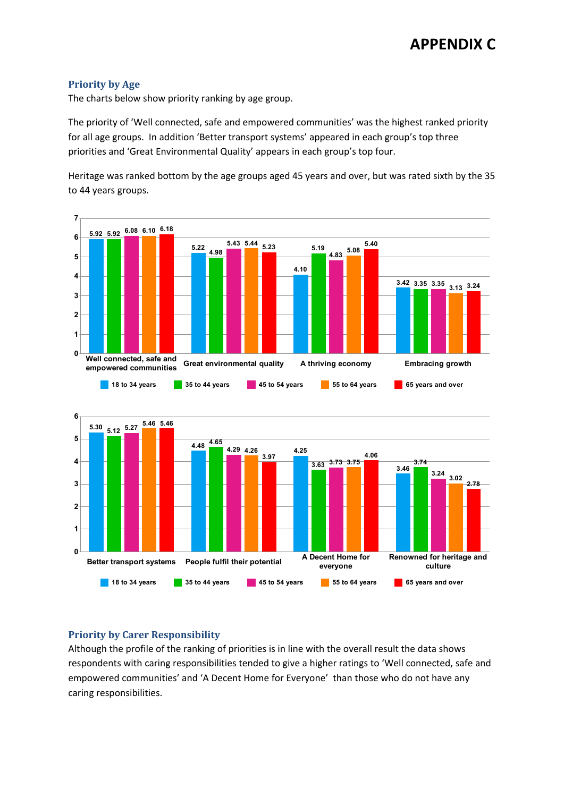#### **Priority by Age**

The charts below show priority ranking by age group.

The priority of 'Well connected, safe and empowered communities' was the highest ranked priority for all age groups. In addition 'Better transport systems' appeared in each group's top three priorities and 'Great Environmental Quality' appears in each group's top four.

Heritage was ranked bottom by the age groups aged 45 years and over, but was rated sixth by the 35 to 44 years groups.





#### **Priority by Carer Responsibility**

Although the profile of the ranking of priorities is in line with the overall result the data shows respondents with caring responsibilities tended to give a higher ratings to 'Well connected, safe and empowered communities' and 'A Decent Home for Everyone' than those who do not have any caring responsibilities.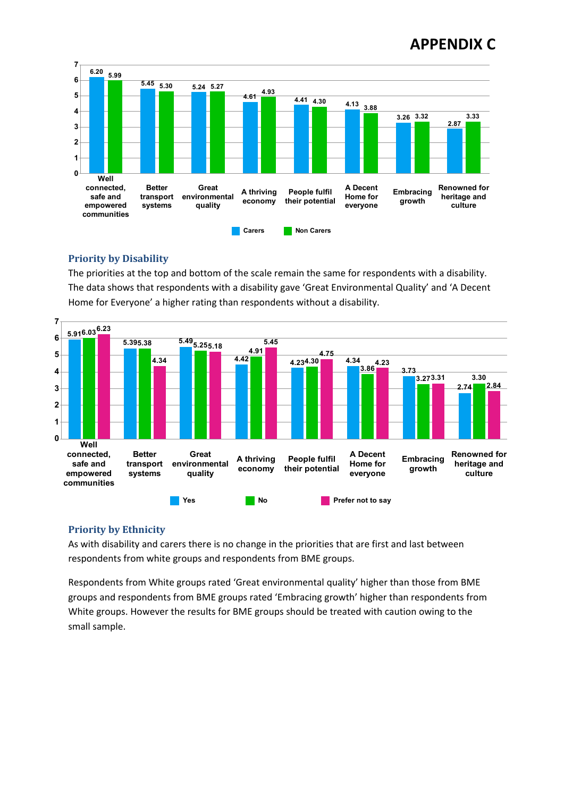

#### **Priority by Disability**

The priorities at the top and bottom of the scale remain the same for respondents with a disability. The data shows that respondents with a disability gave 'Great Environmental Quality' and 'A Decent Home for Everyone' a higher rating than respondents without a disability.



#### **Priority by Ethnicity**

As with disability and carers there is no change in the priorities that are first and last between respondents from white groups and respondents from BME groups.

Respondents from White groups rated 'Great environmental quality' higher than those from BME groups and respondents from BME groups rated 'Embracing growth' higher than respondents from White groups. However the results for BME groups should be treated with caution owing to the small sample.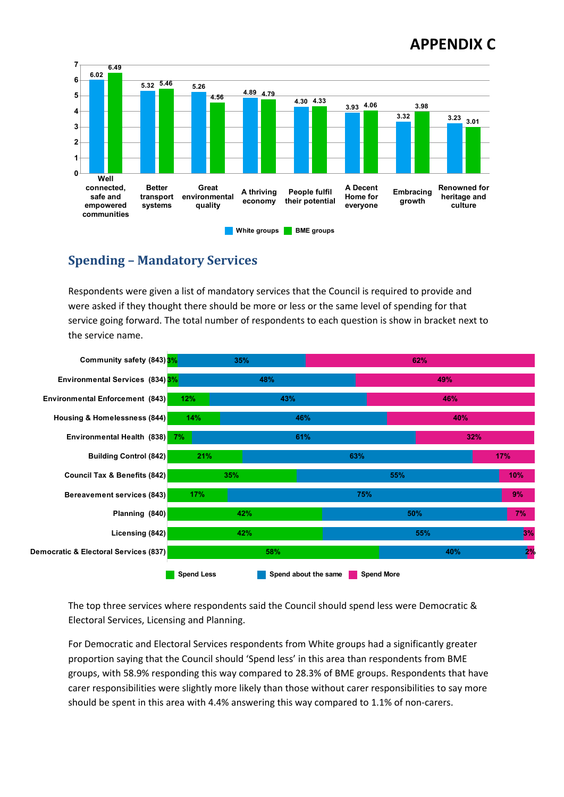

### **Spending – Mandatory Services**

Respondents were given a list of mandatory services that the Council is required to provide and were asked if they thought there should be more or less or the same level of spending for that service going forward. The total number of respondents to each question is show in bracket next to the service name.



The top three services where respondents said the Council should spend less were Democratic & Electoral Services, Licensing and Planning.

For Democratic and Electoral Services respondents from White groups had a significantly greater proportion saying that the Council should 'Spend less' in this area than respondents from BME groups, with 58.9% responding this way compared to 28.3% of BME groups. Respondents that have carer responsibilities were slightly more likely than those without carer responsibilities to say more should be spent in this area with 4.4% answering this way compared to 1.1% of non-carers.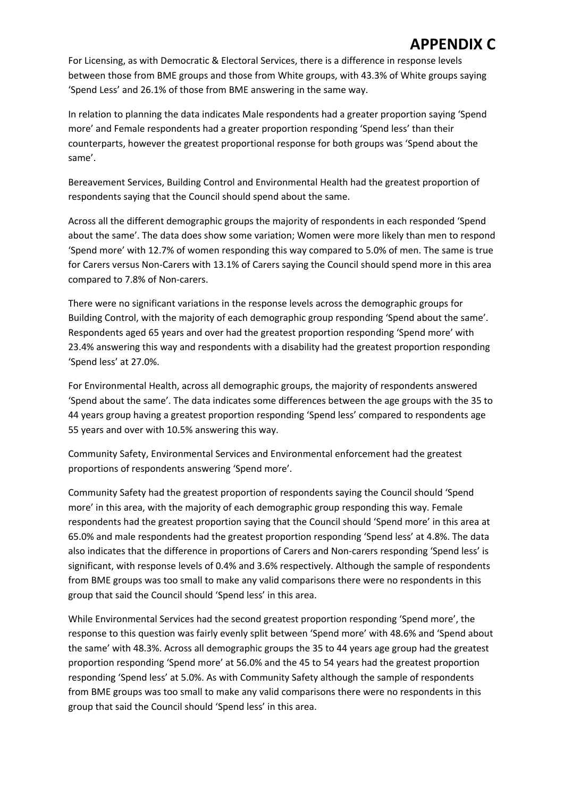For Licensing, as with Democratic & Electoral Services, there is a difference in response levels between those from BME groups and those from White groups, with 43.3% of White groups saying 'Spend Less' and 26.1% of those from BME answering in the same way.

In relation to planning the data indicates Male respondents had a greater proportion saying 'Spend more' and Female respondents had a greater proportion responding 'Spend less' than their counterparts, however the greatest proportional response for both groups was 'Spend about the same'.

Bereavement Services, Building Control and Environmental Health had the greatest proportion of respondents saying that the Council should spend about the same.

Across all the different demographic groups the majority of respondents in each responded 'Spend about the same'. The data does show some variation; Women were more likely than men to respond 'Spend more' with 12.7% of women responding this way compared to 5.0% of men. The same is true for Carers versus Non-Carers with 13.1% of Carers saying the Council should spend more in this area compared to 7.8% of Non-carers.

There were no significant variations in the response levels across the demographic groups for Building Control, with the majority of each demographic group responding 'Spend about the same'. Respondents aged 65 years and over had the greatest proportion responding 'Spend more' with 23.4% answering this way and respondents with a disability had the greatest proportion responding 'Spend less' at 27.0%.

For Environmental Health, across all demographic groups, the majority of respondents answered 'Spend about the same'. The data indicates some differences between the age groups with the 35 to 44 years group having a greatest proportion responding 'Spend less' compared to respondents age 55 years and over with 10.5% answering this way.

Community Safety, Environmental Services and Environmental enforcement had the greatest proportions of respondents answering 'Spend more'.

Community Safety had the greatest proportion of respondents saying the Council should 'Spend more' in this area, with the majority of each demographic group responding this way. Female respondents had the greatest proportion saying that the Council should 'Spend more' in this area at 65.0% and male respondents had the greatest proportion responding 'Spend less' at 4.8%. The data also indicates that the difference in proportions of Carers and Non-carers responding 'Spend less' is significant, with response levels of 0.4% and 3.6% respectively. Although the sample of respondents from BME groups was too small to make any valid comparisons there were no respondents in this group that said the Council should 'Spend less' in this area.

While Environmental Services had the second greatest proportion responding 'Spend more', the response to this question was fairly evenly split between 'Spend more' with 48.6% and 'Spend about the same' with 48.3%. Across all demographic groups the 35 to 44 years age group had the greatest proportion responding 'Spend more' at 56.0% and the 45 to 54 years had the greatest proportion responding 'Spend less' at 5.0%. As with Community Safety although the sample of respondents from BME groups was too small to make any valid comparisons there were no respondents in this group that said the Council should 'Spend less' in this area.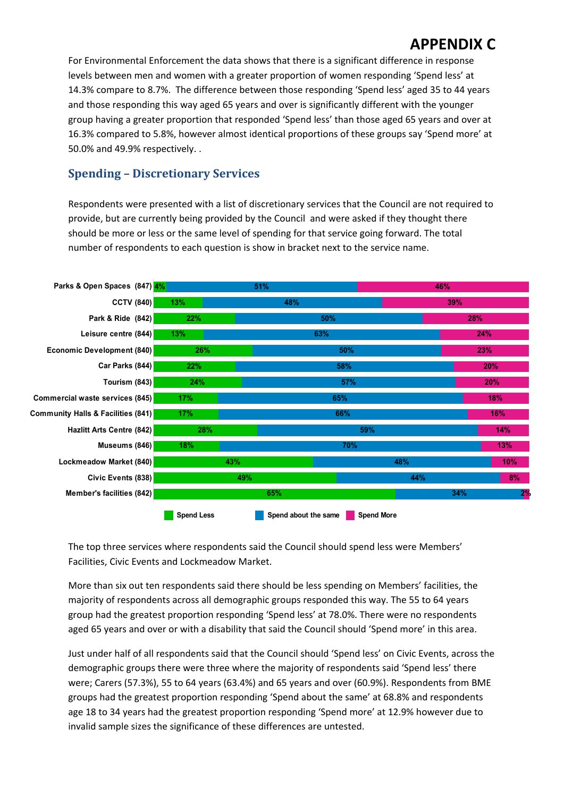For Environmental Enforcement the data shows that there is a significant difference in response levels between men and women with a greater proportion of women responding 'Spend less' at 14.3% compare to 8.7%. The difference between those responding 'Spend less' aged 35 to 44 years and those responding this way aged 65 years and over is significantly different with the younger group having a greater proportion that responded 'Spend less' than those aged 65 years and over at 16.3% compared to 5.8%, however almost identical proportions of these groups say 'Spend more' at 50.0% and 49.9% respectively. .

### **Spending – Discretionary Services**

Respondents were presented with a list of discretionary services that the Council are not required to provide, but are currently being provided by the Council and were asked if they thought there should be more or less or the same level of spending for that service going forward. The total number of respondents to each question is show in bracket next to the service name.



The top three services where respondents said the Council should spend less were Members' Facilities, Civic Events and Lockmeadow Market.

More than six out ten respondents said there should be less spending on Members' facilities, the majority of respondents across all demographic groups responded this way. The 55 to 64 years group had the greatest proportion responding 'Spend less' at 78.0%. There were no respondents aged 65 years and over or with a disability that said the Council should 'Spend more' in this area.

Just under half of all respondents said that the Council should 'Spend less' on Civic Events, across the demographic groups there were three where the majority of respondents said 'Spend less' there were; Carers (57.3%), 55 to 64 years (63.4%) and 65 years and over (60.9%). Respondents from BME groups had the greatest proportion responding 'Spend about the same' at 68.8% and respondents age 18 to 34 years had the greatest proportion responding 'Spend more' at 12.9% however due to invalid sample sizes the significance of these differences are untested.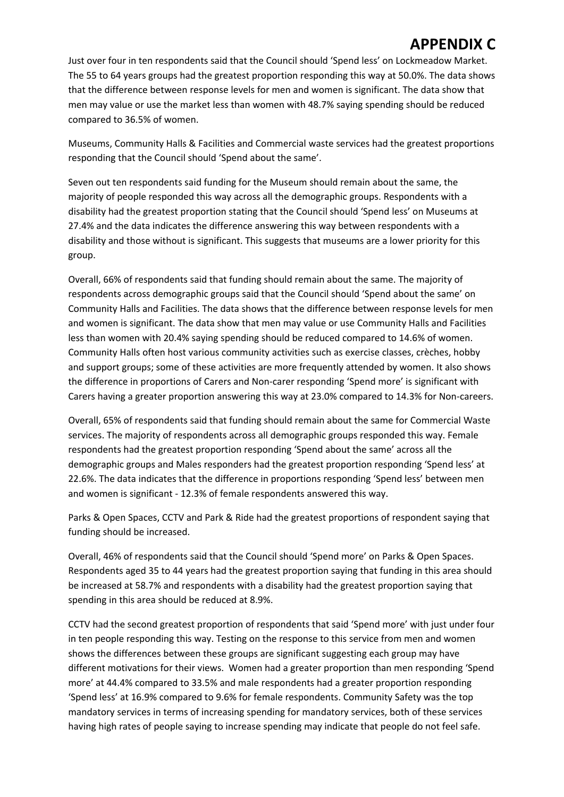Just over four in ten respondents said that the Council should 'Spend less' on Lockmeadow Market. The 55 to 64 years groups had the greatest proportion responding this way at 50.0%. The data shows that the difference between response levels for men and women is significant. The data show that men may value or use the market less than women with 48.7% saying spending should be reduced compared to 36.5% of women.

Museums, Community Halls & Facilities and Commercial waste services had the greatest proportions responding that the Council should 'Spend about the same'.

Seven out ten respondents said funding for the Museum should remain about the same, the majority of people responded this way across all the demographic groups. Respondents with a disability had the greatest proportion stating that the Council should 'Spend less' on Museums at 27.4% and the data indicates the difference answering this way between respondents with a disability and those without is significant. This suggests that museums are a lower priority for this group.

Overall, 66% of respondents said that funding should remain about the same. The majority of respondents across demographic groups said that the Council should 'Spend about the same' on Community Halls and Facilities. The data shows that the difference between response levels for men and women is significant. The data show that men may value or use Community Halls and Facilities less than women with 20.4% saying spending should be reduced compared to 14.6% of women. Community Halls often host various community activities such as exercise classes, crèches, hobby and support groups; some of these activities are more frequently attended by women. It also shows the difference in proportions of Carers and Non-carer responding 'Spend more' is significant with Carers having a greater proportion answering this way at 23.0% compared to 14.3% for Non-careers.

Overall, 65% of respondents said that funding should remain about the same for Commercial Waste services. The majority of respondents across all demographic groups responded this way. Female respondents had the greatest proportion responding 'Spend about the same' across all the demographic groups and Males responders had the greatest proportion responding 'Spend less' at 22.6%. The data indicates that the difference in proportions responding 'Spend less' between men and women is significant - 12.3% of female respondents answered this way.

Parks & Open Spaces, CCTV and Park & Ride had the greatest proportions of respondent saying that funding should be increased.

Overall, 46% of respondents said that the Council should 'Spend more' on Parks & Open Spaces. Respondents aged 35 to 44 years had the greatest proportion saying that funding in this area should be increased at 58.7% and respondents with a disability had the greatest proportion saying that spending in this area should be reduced at 8.9%.

CCTV had the second greatest proportion of respondents that said 'Spend more' with just under four in ten people responding this way. Testing on the response to this service from men and women shows the differences between these groups are significant suggesting each group may have different motivations for their views. Women had a greater proportion than men responding 'Spend more' at 44.4% compared to 33.5% and male respondents had a greater proportion responding 'Spend less' at 16.9% compared to 9.6% for female respondents. Community Safety was the top mandatory services in terms of increasing spending for mandatory services, both of these services having high rates of people saying to increase spending may indicate that people do not feel safe.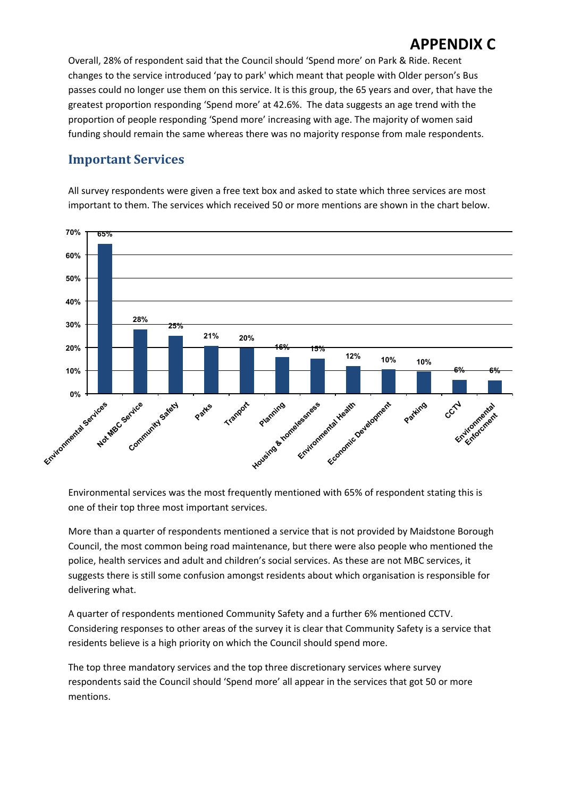Overall, 28% of respondent said that the Council should 'Spend more' on Park & Ride. Recent changes to the service introduced 'pay to park' which meant that people with Older person's Bus passes could no longer use them on this service. It is this group, the 65 years and over, that have the greatest proportion responding 'Spend more' at 42.6%. The data suggests an age trend with the proportion of people responding 'Spend more' increasing with age. The majority of women said funding should remain the same whereas there was no majority response from male respondents.

#### **Important Services**

All survey respondents were given a free text box and asked to state which three services are most important to them. The services which received 50 or more mentions are shown in the chart below.



Environmental services was the most frequently mentioned with 65% of respondent stating this is one of their top three most important services.

More than a quarter of respondents mentioned a service that is not provided by Maidstone Borough Council, the most common being road maintenance, but there were also people who mentioned the police, health services and adult and children's social services. As these are not MBC services, it suggests there is still some confusion amongst residents about which organisation is responsible for delivering what.

A quarter of respondents mentioned Community Safety and a further 6% mentioned CCTV. Considering responses to other areas of the survey it is clear that Community Safety is a service that residents believe is a high priority on which the Council should spend more.

The top three mandatory services and the top three discretionary services where survey respondents said the Council should 'Spend more' all appear in the services that got 50 or more mentions.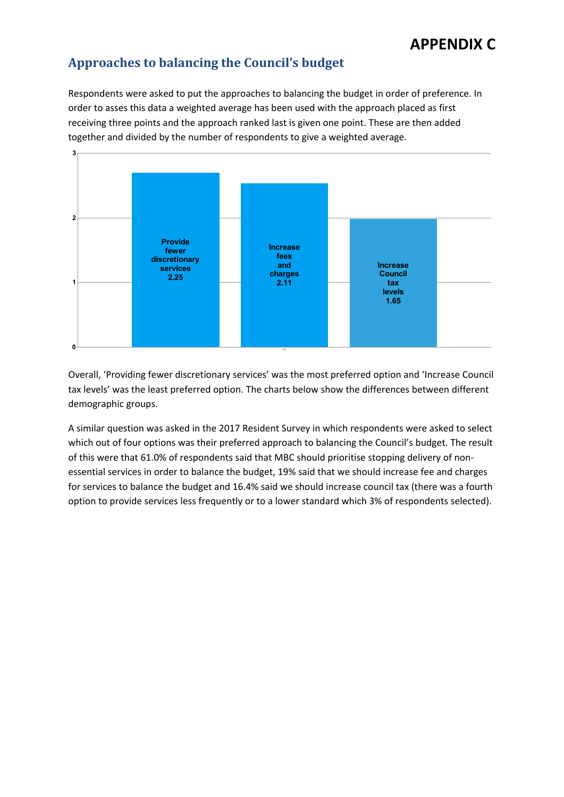### **Approaches to balancing the Council's budget**

Respondents were asked to put the approaches to balancing the budget in order of preference. In order to asses this data a weighted average has been used with the approach placed as first receiving three points and the approach ranked last is given one point. These are then added together and divided by the number of respondents to give a weighted average.



Overall, 'Providing fewer discretionary services' was the most preferred option and 'Increase Council tax levels' was the least preferred option. The charts below show the differences between different demographic groups.

A similar question was asked in the 2017 Resident Survey in which respondents were asked to select which out of four options was their preferred approach to balancing the Council's budget. The result of this were that 61.0% of respondents said that MBC should prioritise stopping delivery of nonessential services in order to balance the budget, 19% said that we should increase fee and charges for services to balance the budget and 16.4% said we should increase council tax (there was a fourth option to provide services less frequently or to a lower standard which 3% of respondents selected).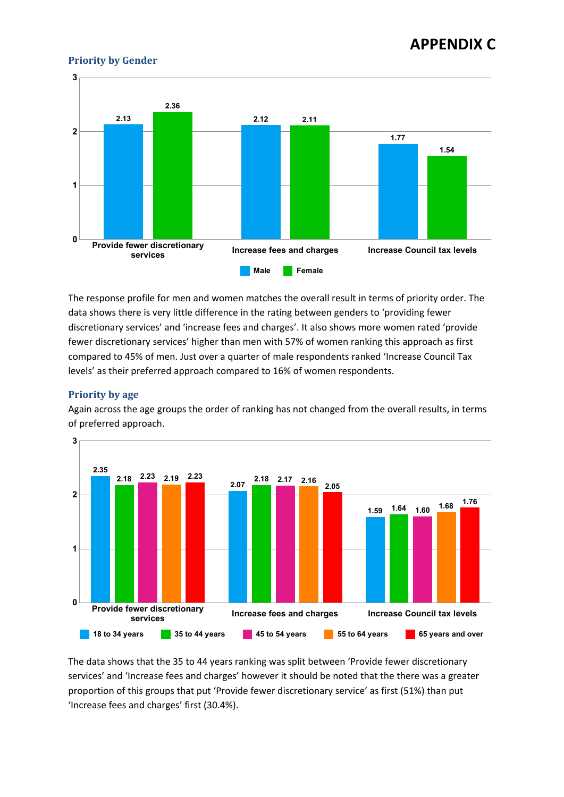#### **Priority by Gender**



The response profile for men and women matches the overall result in terms of priority order. The data shows there is very little difference in the rating between genders to 'providing fewer discretionary services' and 'increase fees and charges'. It also shows more women rated 'provide fewer discretionary services' higher than men with 57% of women ranking this approach as first compared to 45% of men. Just over a quarter of male respondents ranked 'Increase Council Tax levels' as their preferred approach compared to 16% of women respondents.

#### **Priority by age**

Again across the age groups the order of ranking has not changed from the overall results, in terms of preferred approach.



The data shows that the 35 to 44 years ranking was split between 'Provide fewer discretionary services' and 'Increase fees and charges' however it should be noted that the there was a greater proportion of this groups that put 'Provide fewer discretionary service' as first (51%) than put 'Increase fees and charges' first (30.4%).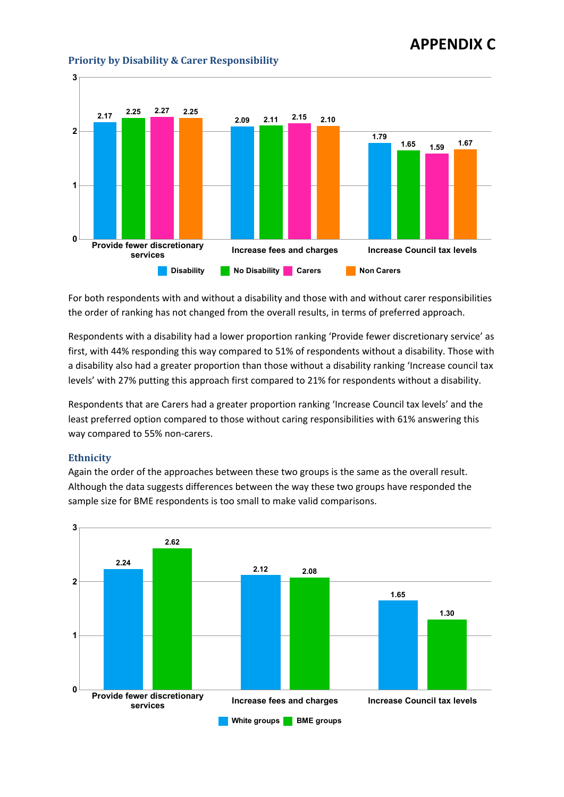

#### **Priority by Disability & Carer Responsibility**

For both respondents with and without a disability and those with and without carer responsibilities the order of ranking has not changed from the overall results, in terms of preferred approach.

Respondents with a disability had a lower proportion ranking 'Provide fewer discretionary service' as first, with 44% responding this way compared to 51% of respondents without a disability. Those with a disability also had a greater proportion than those without a disability ranking 'Increase council tax levels' with 27% putting this approach first compared to 21% for respondents without a disability.

Respondents that are Carers had a greater proportion ranking 'Increase Council tax levels' and the least preferred option compared to those without caring responsibilities with 61% answering this way compared to 55% non-carers.

#### **Ethnicity**

Again the order of the approaches between these two groups is the same as the overall result. Although the data suggests differences between the way these two groups have responded the sample size for BME respondents is too small to make valid comparisons.

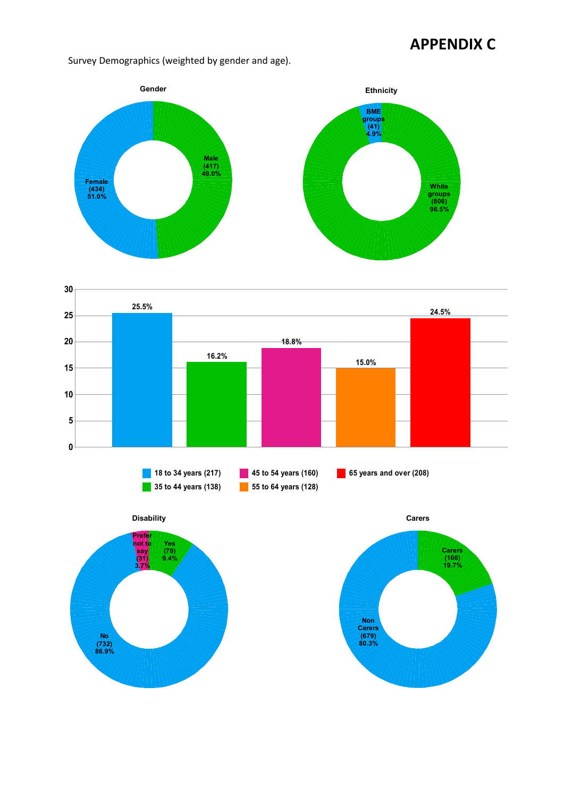Survey Demographics (weighted by gender and age).